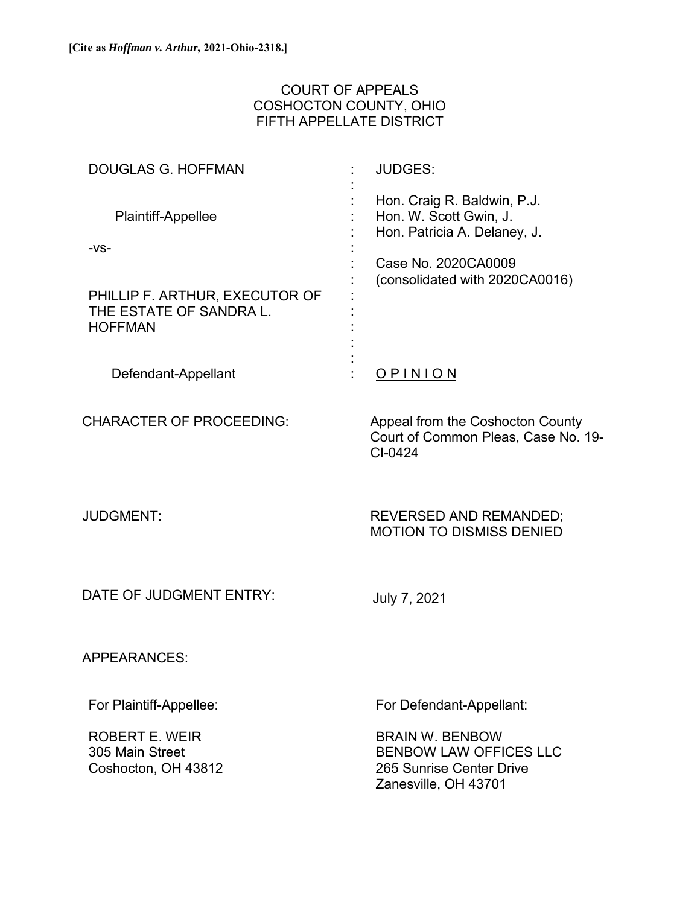# COURT OF APPEALS COSHOCTON COUNTY, OHIO FIFTH APPELLATE DISTRICT

| <b>DOUGLAS G. HOFFMAN</b>                                                   | <b>JUDGES:</b>                                                                                              |
|-----------------------------------------------------------------------------|-------------------------------------------------------------------------------------------------------------|
| Plaintiff-Appellee                                                          | Hon. Craig R. Baldwin, P.J.<br>Hon. W. Scott Gwin, J.<br>Hon. Patricia A. Delaney, J.                       |
| $-VS-$                                                                      | Case No. 2020CA0009                                                                                         |
| PHILLIP F. ARTHUR, EXECUTOR OF<br>THE ESTATE OF SANDRA L.<br><b>HOFFMAN</b> | (consolidated with 2020CA0016)                                                                              |
| Defendant-Appellant                                                         | <u>OPINION</u>                                                                                              |
| <b>CHARACTER OF PROCEEDING:</b>                                             | Appeal from the Coshocton County<br>Court of Common Pleas, Case No. 19-<br>$Cl-0424$                        |
| <b>JUDGMENT:</b>                                                            | <b>REVERSED AND REMANDED;</b><br><b>MOTION TO DISMISS DENIED</b>                                            |
| DATE OF JUDGMENT ENTRY:                                                     | July 7, 2021                                                                                                |
| <b>APPEARANCES:</b>                                                         |                                                                                                             |
| For Plaintiff-Appellee:                                                     | For Defendant-Appellant:                                                                                    |
| ROBERT E. WEIR<br>305 Main Street<br>Coshocton, OH 43812                    | <b>BRAIN W. BENBOW</b><br><b>BENBOW LAW OFFICES LLC</b><br>265 Sunrise Center Drive<br>Zanesville, OH 43701 |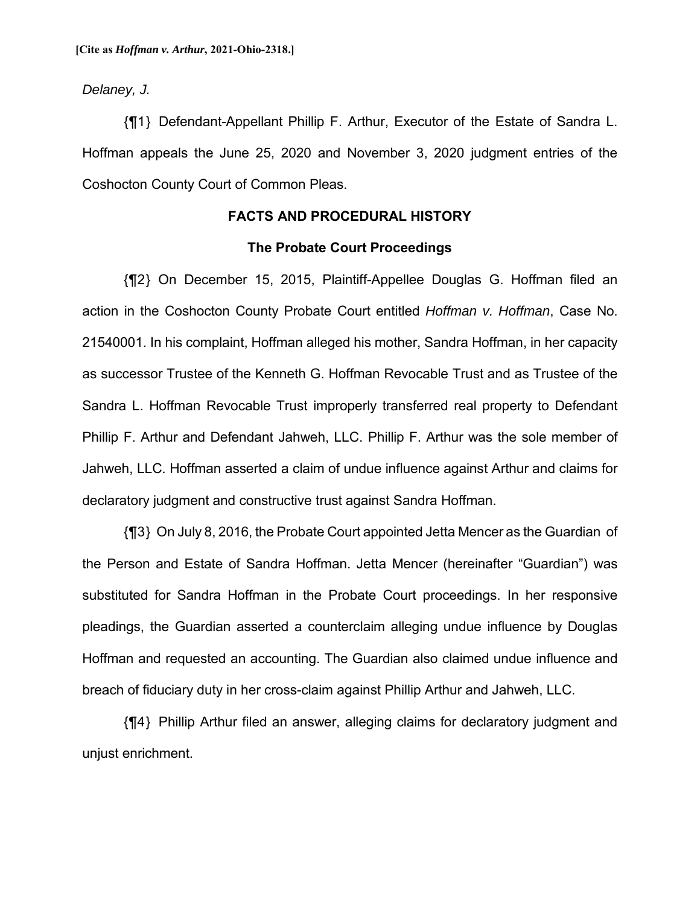*Delaney, J.*

{¶1} Defendant-Appellant Phillip F. Arthur, Executor of the Estate of Sandra L. Hoffman appeals the June 25, 2020 and November 3, 2020 judgment entries of the Coshocton County Court of Common Pleas.

### **FACTS AND PROCEDURAL HISTORY**

### **The Probate Court Proceedings**

{¶2} On December 15, 2015, Plaintiff-Appellee Douglas G. Hoffman filed an action in the Coshocton County Probate Court entitled *Hoffman v. Hoffman*, Case No. 21540001. In his complaint, Hoffman alleged his mother, Sandra Hoffman, in her capacity as successor Trustee of the Kenneth G. Hoffman Revocable Trust and as Trustee of the Sandra L. Hoffman Revocable Trust improperly transferred real property to Defendant Phillip F. Arthur and Defendant Jahweh, LLC. Phillip F. Arthur was the sole member of Jahweh, LLC. Hoffman asserted a claim of undue influence against Arthur and claims for declaratory judgment and constructive trust against Sandra Hoffman.

{¶3} On July 8, 2016, the Probate Court appointed Jetta Mencer as the Guardian of the Person and Estate of Sandra Hoffman. Jetta Mencer (hereinafter "Guardian") was substituted for Sandra Hoffman in the Probate Court proceedings. In her responsive pleadings, the Guardian asserted a counterclaim alleging undue influence by Douglas Hoffman and requested an accounting. The Guardian also claimed undue influence and breach of fiduciary duty in her cross-claim against Phillip Arthur and Jahweh, LLC.

{¶4} Phillip Arthur filed an answer, alleging claims for declaratory judgment and unjust enrichment.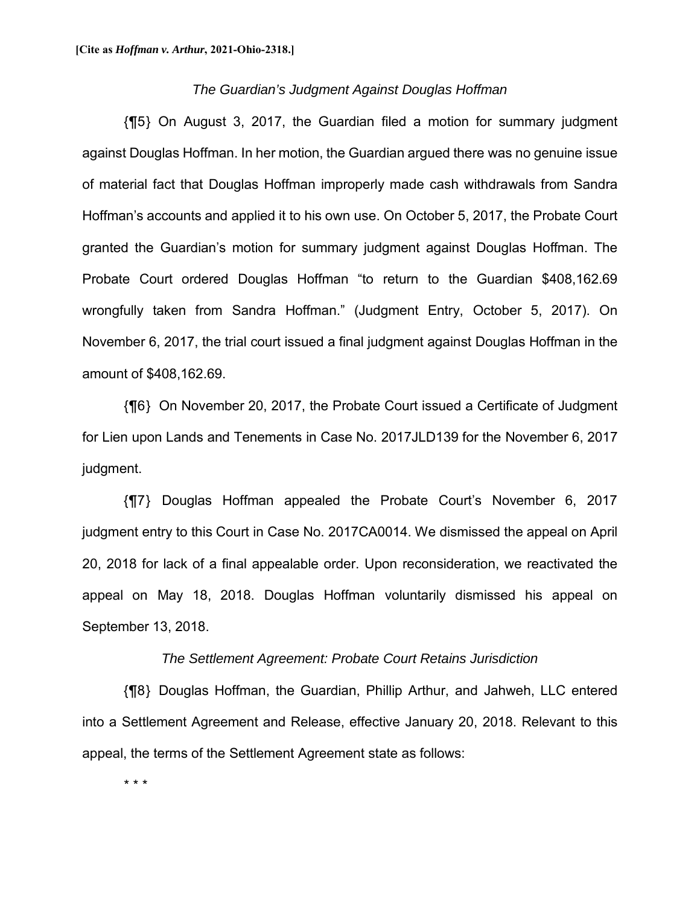#### *The Guardian's Judgment Against Douglas Hoffman*

{¶5} On August 3, 2017, the Guardian filed a motion for summary judgment against Douglas Hoffman. In her motion, the Guardian argued there was no genuine issue of material fact that Douglas Hoffman improperly made cash withdrawals from Sandra Hoffman's accounts and applied it to his own use. On October 5, 2017, the Probate Court granted the Guardian's motion for summary judgment against Douglas Hoffman. The Probate Court ordered Douglas Hoffman "to return to the Guardian \$408,162.69 wrongfully taken from Sandra Hoffman." (Judgment Entry, October 5, 2017). On November 6, 2017, the trial court issued a final judgment against Douglas Hoffman in the amount of \$408,162.69.

{¶6} On November 20, 2017, the Probate Court issued a Certificate of Judgment for Lien upon Lands and Tenements in Case No. 2017JLD139 for the November 6, 2017 judgment.

{¶7} Douglas Hoffman appealed the Probate Court's November 6, 2017 judgment entry to this Court in Case No. 2017CA0014. We dismissed the appeal on April 20, 2018 for lack of a final appealable order. Upon reconsideration, we reactivated the appeal on May 18, 2018. Douglas Hoffman voluntarily dismissed his appeal on September 13, 2018.

#### *The Settlement Agreement: Probate Court Retains Jurisdiction*

{¶8} Douglas Hoffman, the Guardian, Phillip Arthur, and Jahweh, LLC entered into a Settlement Agreement and Release, effective January 20, 2018. Relevant to this appeal, the terms of the Settlement Agreement state as follows:

\* \* \*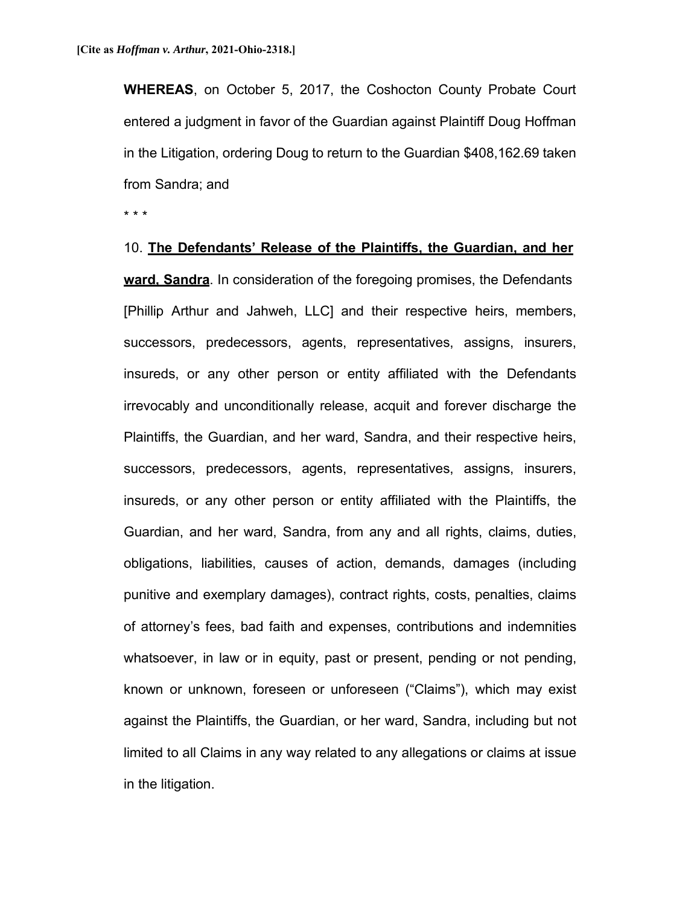**WHEREAS**, on October 5, 2017, the Coshocton County Probate Court entered a judgment in favor of the Guardian against Plaintiff Doug Hoffman in the Litigation, ordering Doug to return to the Guardian \$408,162.69 taken from Sandra; and

\* \* \*

10. **The Defendants' Release of the Plaintiffs, the Guardian, and her ward, Sandra**. In consideration of the foregoing promises, the Defendants [Phillip Arthur and Jahweh, LLC] and their respective heirs, members, successors, predecessors, agents, representatives, assigns, insurers, insureds, or any other person or entity affiliated with the Defendants irrevocably and unconditionally release, acquit and forever discharge the Plaintiffs, the Guardian, and her ward, Sandra, and their respective heirs, successors, predecessors, agents, representatives, assigns, insurers, insureds, or any other person or entity affiliated with the Plaintiffs, the Guardian, and her ward, Sandra, from any and all rights, claims, duties, obligations, liabilities, causes of action, demands, damages (including punitive and exemplary damages), contract rights, costs, penalties, claims of attorney's fees, bad faith and expenses, contributions and indemnities whatsoever, in law or in equity, past or present, pending or not pending, known or unknown, foreseen or unforeseen ("Claims"), which may exist against the Plaintiffs, the Guardian, or her ward, Sandra, including but not limited to all Claims in any way related to any allegations or claims at issue in the litigation.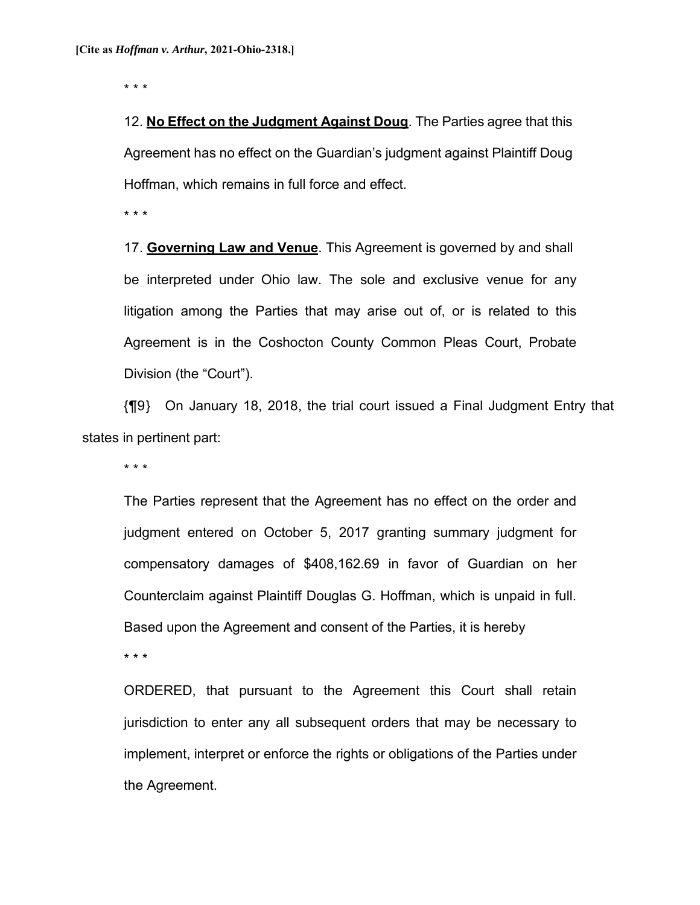\* \* \*

12. **No Effect on the Judgment Against Doug**. The Parties agree that this Agreement has no effect on the Guardian's judgment against Plaintiff Doug Hoffman, which remains in full force and effect.

\* \* \*

17. **Governing Law and Venue**. This Agreement is governed by and shall be interpreted under Ohio law. The sole and exclusive venue for any litigation among the Parties that may arise out of, or is related to this Agreement is in the Coshocton County Common Pleas Court, Probate Division (the "Court").

{¶9} On January 18, 2018, the trial court issued a Final Judgment Entry that states in pertinent part:

\* \* \*

The Parties represent that the Agreement has no effect on the order and judgment entered on October 5, 2017 granting summary judgment for compensatory damages of \$408,162.69 in favor of Guardian on her Counterclaim against Plaintiff Douglas G. Hoffman, which is unpaid in full. Based upon the Agreement and consent of the Parties, it is hereby

\* \* \*

ORDERED, that pursuant to the Agreement this Court shall retain jurisdiction to enter any all subsequent orders that may be necessary to implement, interpret or enforce the rights or obligations of the Parties under the Agreement.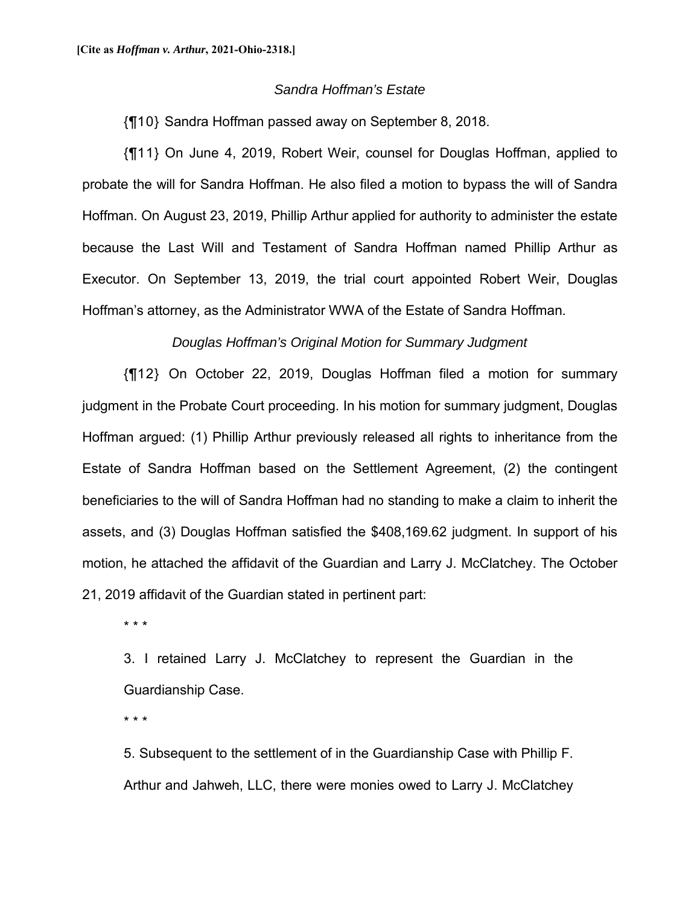### *Sandra Hoffman's Estate*

{¶10} Sandra Hoffman passed away on September 8, 2018.

{¶11} On June 4, 2019, Robert Weir, counsel for Douglas Hoffman, applied to probate the will for Sandra Hoffman. He also filed a motion to bypass the will of Sandra Hoffman. On August 23, 2019, Phillip Arthur applied for authority to administer the estate because the Last Will and Testament of Sandra Hoffman named Phillip Arthur as Executor. On September 13, 2019, the trial court appointed Robert Weir, Douglas Hoffman's attorney, as the Administrator WWA of the Estate of Sandra Hoffman.

### *Douglas Hoffman's Original Motion for Summary Judgment*

{¶12} On October 22, 2019, Douglas Hoffman filed a motion for summary judgment in the Probate Court proceeding. In his motion for summary judgment, Douglas Hoffman argued: (1) Phillip Arthur previously released all rights to inheritance from the Estate of Sandra Hoffman based on the Settlement Agreement, (2) the contingent beneficiaries to the will of Sandra Hoffman had no standing to make a claim to inherit the assets, and (3) Douglas Hoffman satisfied the \$408,169.62 judgment. In support of his motion, he attached the affidavit of the Guardian and Larry J. McClatchey. The October 21, 2019 affidavit of the Guardian stated in pertinent part:

\* \* \*

3. I retained Larry J. McClatchey to represent the Guardian in the Guardianship Case.

\* \* \*

5. Subsequent to the settlement of in the Guardianship Case with Phillip F. Arthur and Jahweh, LLC, there were monies owed to Larry J. McClatchey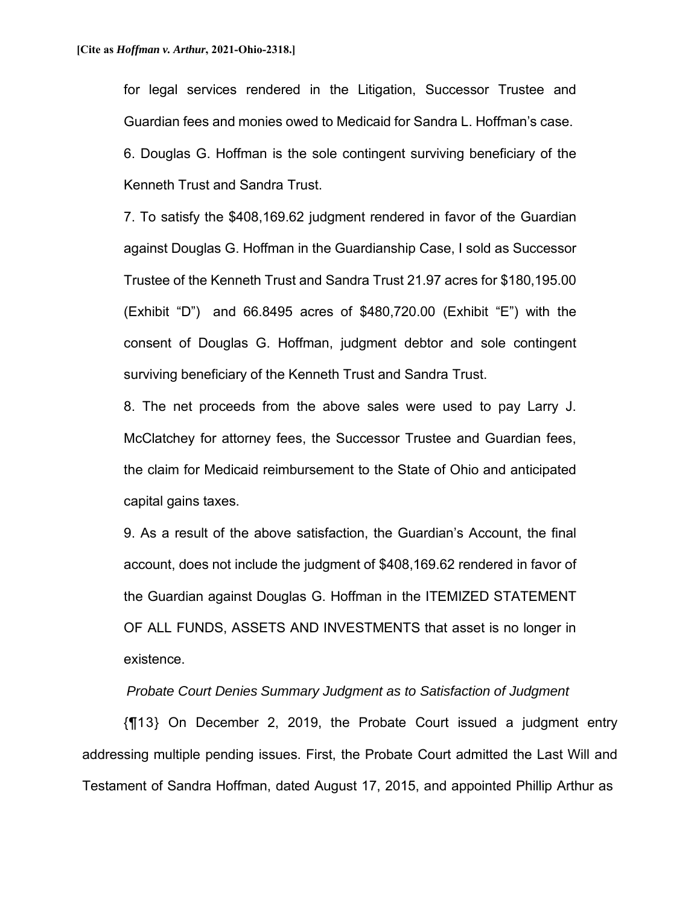for legal services rendered in the Litigation, Successor Trustee and Guardian fees and monies owed to Medicaid for Sandra L. Hoffman's case. 6. Douglas G. Hoffman is the sole contingent surviving beneficiary of the Kenneth Trust and Sandra Trust.

7. To satisfy the \$408,169.62 judgment rendered in favor of the Guardian against Douglas G. Hoffman in the Guardianship Case, I sold as Successor Trustee of the Kenneth Trust and Sandra Trust 21.97 acres for \$180,195.00 (Exhibit "D") and 66.8495 acres of \$480,720.00 (Exhibit "E") with the consent of Douglas G. Hoffman, judgment debtor and sole contingent surviving beneficiary of the Kenneth Trust and Sandra Trust.

8. The net proceeds from the above sales were used to pay Larry J. McClatchey for attorney fees, the Successor Trustee and Guardian fees, the claim for Medicaid reimbursement to the State of Ohio and anticipated capital gains taxes.

9. As a result of the above satisfaction, the Guardian's Account, the final account, does not include the judgment of \$408,169.62 rendered in favor of the Guardian against Douglas G. Hoffman in the ITEMIZED STATEMENT OF ALL FUNDS, ASSETS AND INVESTMENTS that asset is no longer in existence.

### *Probate Court Denies Summary Judgment as to Satisfaction of Judgment*

{¶13} On December 2, 2019, the Probate Court issued a judgment entry addressing multiple pending issues. First, the Probate Court admitted the Last Will and Testament of Sandra Hoffman, dated August 17, 2015, and appointed Phillip Arthur as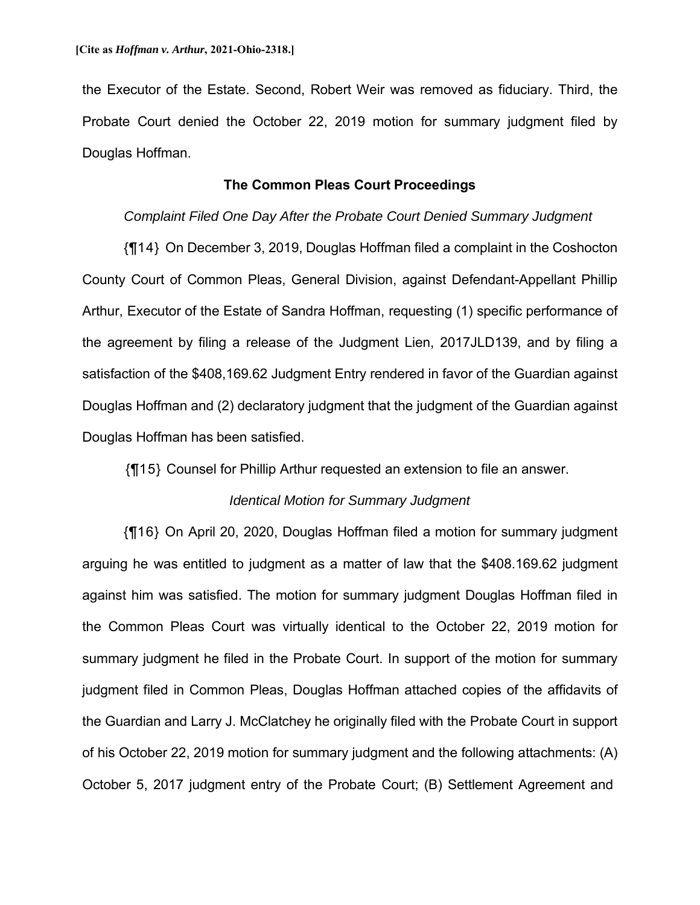the Executor of the Estate. Second, Robert Weir was removed as fiduciary. Third, the Probate Court denied the October 22, 2019 motion for summary judgment filed by Douglas Hoffman.

### **The Common Pleas Court Proceedings**

#### *Complaint Filed One Day After the Probate Court Denied Summary Judgment*

{¶14} On December 3, 2019, Douglas Hoffman filed a complaint in the Coshocton County Court of Common Pleas, General Division, against Defendant-Appellant Phillip Arthur, Executor of the Estate of Sandra Hoffman, requesting (1) specific performance of the agreement by filing a release of the Judgment Lien, 2017JLD139, and by filing a satisfaction of the \$408,169.62 Judgment Entry rendered in favor of the Guardian against Douglas Hoffman and (2) declaratory judgment that the judgment of the Guardian against Douglas Hoffman has been satisfied.

{¶15} Counsel for Phillip Arthur requested an extension to file an answer.

#### *Identical Motion for Summary Judgment*

{¶16} On April 20, 2020, Douglas Hoffman filed a motion for summary judgment arguing he was entitled to judgment as a matter of law that the \$408.169.62 judgment against him was satisfied. The motion for summary judgment Douglas Hoffman filed in the Common Pleas Court was virtually identical to the October 22, 2019 motion for summary judgment he filed in the Probate Court. In support of the motion for summary judgment filed in Common Pleas, Douglas Hoffman attached copies of the affidavits of the Guardian and Larry J. McClatchey he originally filed with the Probate Court in support of his October 22, 2019 motion for summary judgment and the following attachments: (A) October 5, 2017 judgment entry of the Probate Court; (B) Settlement Agreement and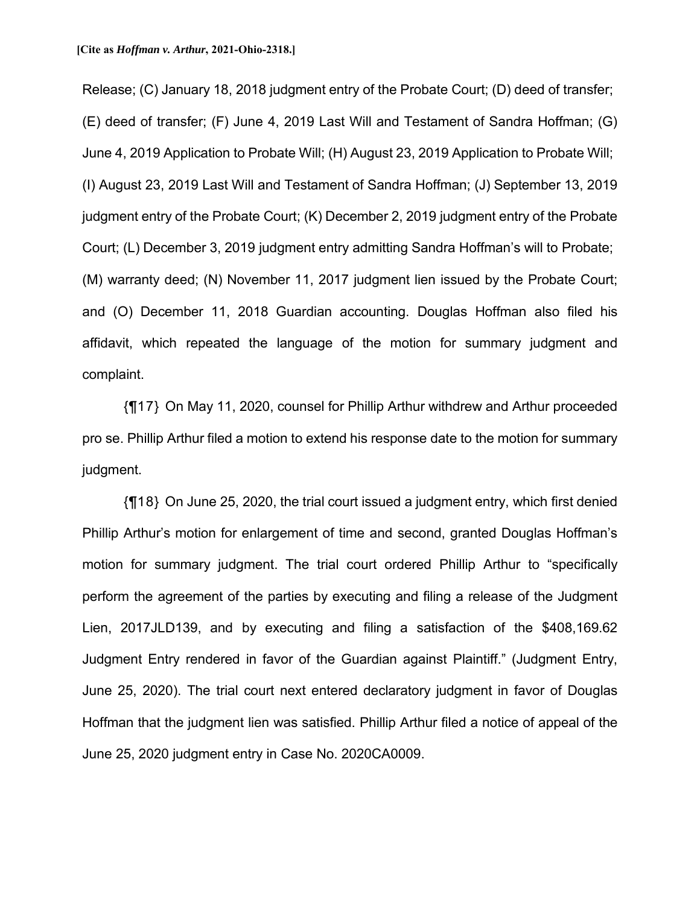Release; (C) January 18, 2018 judgment entry of the Probate Court; (D) deed of transfer; (E) deed of transfer; (F) June 4, 2019 Last Will and Testament of Sandra Hoffman; (G) June 4, 2019 Application to Probate Will; (H) August 23, 2019 Application to Probate Will; (I) August 23, 2019 Last Will and Testament of Sandra Hoffman; (J) September 13, 2019 judgment entry of the Probate Court; (K) December 2, 2019 judgment entry of the Probate Court; (L) December 3, 2019 judgment entry admitting Sandra Hoffman's will to Probate; (M) warranty deed; (N) November 11, 2017 judgment lien issued by the Probate Court; and (O) December 11, 2018 Guardian accounting. Douglas Hoffman also filed his affidavit, which repeated the language of the motion for summary judgment and complaint.

{¶17} On May 11, 2020, counsel for Phillip Arthur withdrew and Arthur proceeded pro se. Phillip Arthur filed a motion to extend his response date to the motion for summary judgment.

{¶18} On June 25, 2020, the trial court issued a judgment entry, which first denied Phillip Arthur's motion for enlargement of time and second, granted Douglas Hoffman's motion for summary judgment. The trial court ordered Phillip Arthur to "specifically perform the agreement of the parties by executing and filing a release of the Judgment Lien, 2017JLD139, and by executing and filing a satisfaction of the \$408,169.62 Judgment Entry rendered in favor of the Guardian against Plaintiff." (Judgment Entry, June 25, 2020). The trial court next entered declaratory judgment in favor of Douglas Hoffman that the judgment lien was satisfied. Phillip Arthur filed a notice of appeal of the June 25, 2020 judgment entry in Case No. 2020CA0009.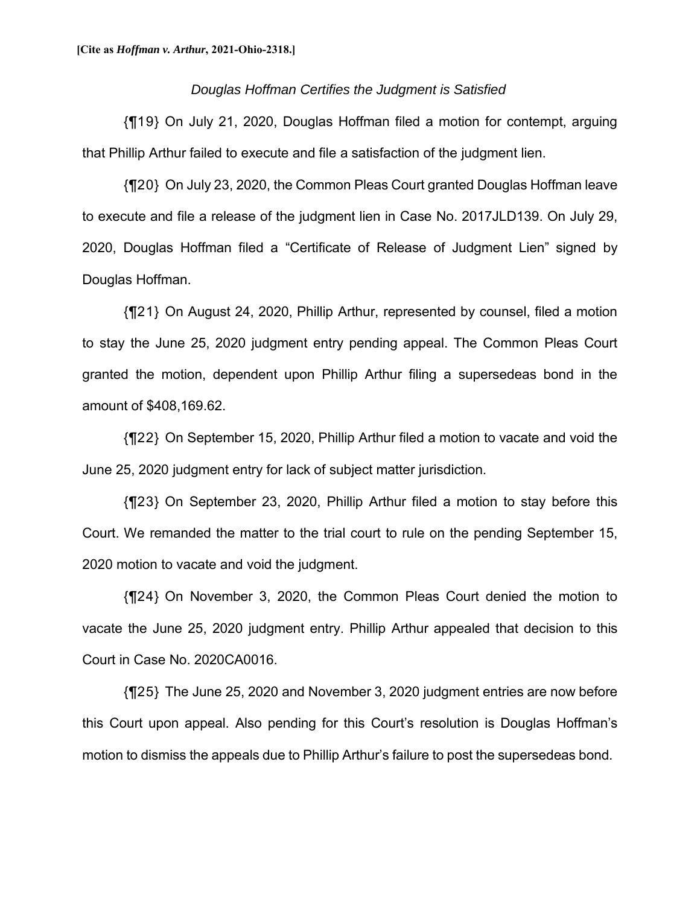#### *Douglas Hoffman Certifies the Judgment is Satisfied*

{¶19} On July 21, 2020, Douglas Hoffman filed a motion for contempt, arguing that Phillip Arthur failed to execute and file a satisfaction of the judgment lien.

{¶20} On July 23, 2020, the Common Pleas Court granted Douglas Hoffman leave to execute and file a release of the judgment lien in Case No. 2017JLD139. On July 29, 2020, Douglas Hoffman filed a "Certificate of Release of Judgment Lien" signed by Douglas Hoffman.

{¶21} On August 24, 2020, Phillip Arthur, represented by counsel, filed a motion to stay the June 25, 2020 judgment entry pending appeal. The Common Pleas Court granted the motion, dependent upon Phillip Arthur filing a supersedeas bond in the amount of \$408,169.62.

{¶22} On September 15, 2020, Phillip Arthur filed a motion to vacate and void the June 25, 2020 judgment entry for lack of subject matter jurisdiction.

{¶23} On September 23, 2020, Phillip Arthur filed a motion to stay before this Court. We remanded the matter to the trial court to rule on the pending September 15, 2020 motion to vacate and void the judgment.

{¶24} On November 3, 2020, the Common Pleas Court denied the motion to vacate the June 25, 2020 judgment entry. Phillip Arthur appealed that decision to this Court in Case No. 2020CA0016.

{¶25} The June 25, 2020 and November 3, 2020 judgment entries are now before this Court upon appeal. Also pending for this Court's resolution is Douglas Hoffman's motion to dismiss the appeals due to Phillip Arthur's failure to post the supersedeas bond.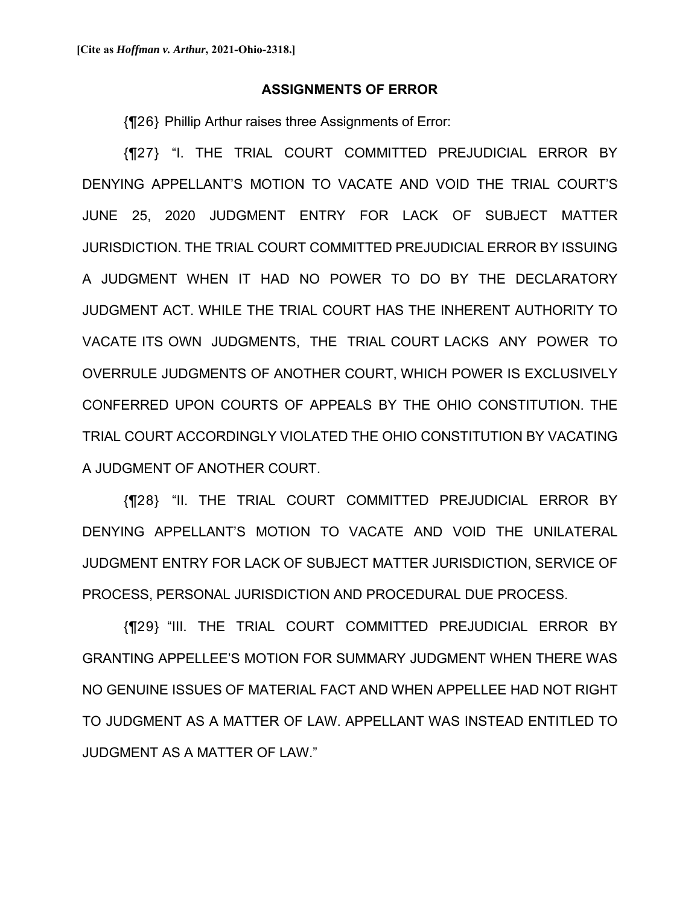#### **ASSIGNMENTS OF ERROR**

{¶26} Phillip Arthur raises three Assignments of Error:

{¶27} "I. THE TRIAL COURT COMMITTED PREJUDICIAL ERROR BY DENYING APPELLANT'S MOTION TO VACATE AND VOID THE TRIAL COURT'S JUNE 25, 2020 JUDGMENT ENTRY FOR LACK OF SUBJECT MATTER JURISDICTION. THE TRIAL COURT COMMITTED PREJUDICIAL ERROR BY ISSUING A JUDGMENT WHEN IT HAD NO POWER TO DO BY THE DECLARATORY JUDGMENT ACT. WHILE THE TRIAL COURT HAS THE INHERENT AUTHORITY TO VACATE ITS OWN JUDGMENTS, THE TRIAL COURT LACKS ANY POWER TO OVERRULE JUDGMENTS OF ANOTHER COURT, WHICH POWER IS EXCLUSIVELY CONFERRED UPON COURTS OF APPEALS BY THE OHIO CONSTITUTION. THE TRIAL COURT ACCORDINGLY VIOLATED THE OHIO CONSTITUTION BY VACATING A JUDGMENT OF ANOTHER COURT.

{¶28} "II. THE TRIAL COURT COMMITTED PREJUDICIAL ERROR BY DENYING APPELLANT'S MOTION TO VACATE AND VOID THE UNILATERAL JUDGMENT ENTRY FOR LACK OF SUBJECT MATTER JURISDICTION, SERVICE OF PROCESS, PERSONAL JURISDICTION AND PROCEDURAL DUE PROCESS.

{¶29} "III. THE TRIAL COURT COMMITTED PREJUDICIAL ERROR BY GRANTING APPELLEE'S MOTION FOR SUMMARY JUDGMENT WHEN THERE WAS NO GENUINE ISSUES OF MATERIAL FACT AND WHEN APPELLEE HAD NOT RIGHT TO JUDGMENT AS A MATTER OF LAW. APPELLANT WAS INSTEAD ENTITLED TO JUDGMENT AS A MATTER OF LAW."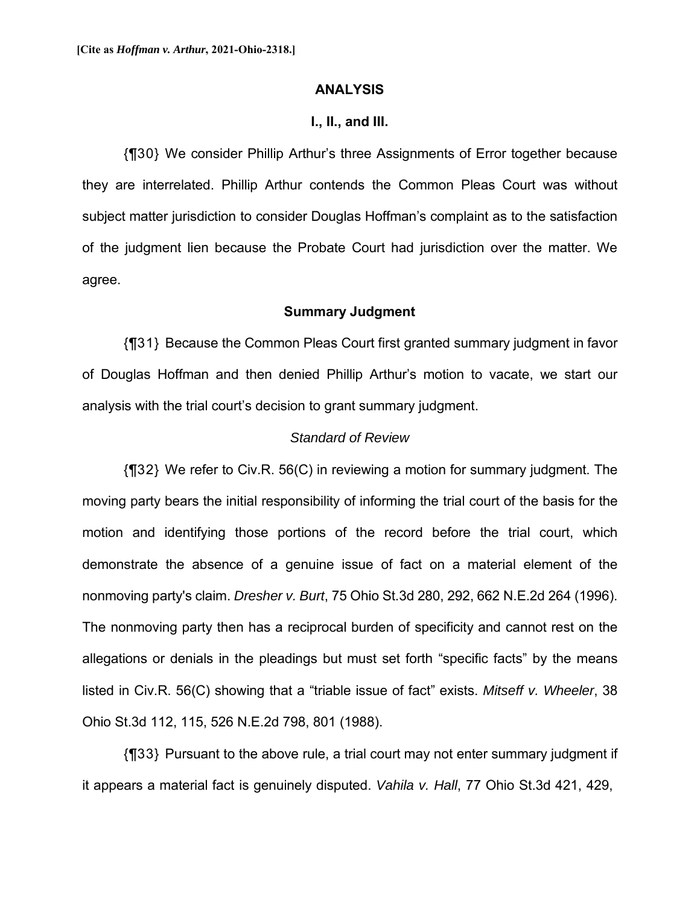#### **ANALYSIS**

#### **I., II., and III.**

{¶30} We consider Phillip Arthur's three Assignments of Error together because they are interrelated. Phillip Arthur contends the Common Pleas Court was without subject matter jurisdiction to consider Douglas Hoffman's complaint as to the satisfaction of the judgment lien because the Probate Court had jurisdiction over the matter. We agree.

#### **Summary Judgment**

{¶31} Because the Common Pleas Court first granted summary judgment in favor of Douglas Hoffman and then denied Phillip Arthur's motion to vacate, we start our analysis with the trial court's decision to grant summary judgment.

#### *Standard of Review*

{¶32} We refer to Civ.R. 56(C) in reviewing a motion for summary judgment. The moving party bears the initial responsibility of informing the trial court of the basis for the motion and identifying those portions of the record before the trial court, which demonstrate the absence of a genuine issue of fact on a material element of the nonmoving party's claim. *Dresher v. Burt*, 75 Ohio St.3d 280, 292, 662 N.E.2d 264 (1996). The nonmoving party then has a reciprocal burden of specificity and cannot rest on the allegations or denials in the pleadings but must set forth "specific facts" by the means listed in Civ.R. 56(C) showing that a "triable issue of fact" exists. *Mitseff v. Wheeler*, 38 Ohio St.3d 112, 115, 526 N.E.2d 798, 801 (1988).

{¶33} Pursuant to the above rule, a trial court may not enter summary judgment if it appears a material fact is genuinely disputed. *Vahila v. Hall*, 77 Ohio St.3d 421, 429,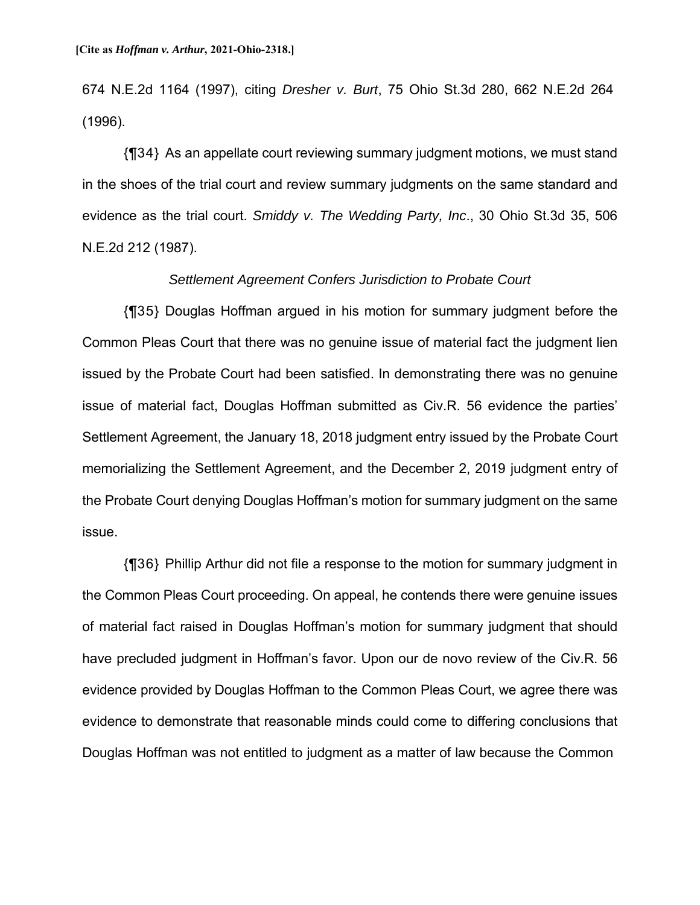674 N.E.2d 1164 (1997), citing *Dresher v. Burt*, 75 Ohio St.3d 280, 662 N.E.2d 264 (1996).

{¶34} As an appellate court reviewing summary judgment motions, we must stand in the shoes of the trial court and review summary judgments on the same standard and evidence as the trial court. *Smiddy v. The Wedding Party, Inc*., 30 Ohio St.3d 35, 506 N.E.2d 212 (1987).

### *Settlement Agreement Confers Jurisdiction to Probate Court*

{¶35} Douglas Hoffman argued in his motion for summary judgment before the Common Pleas Court that there was no genuine issue of material fact the judgment lien issued by the Probate Court had been satisfied. In demonstrating there was no genuine issue of material fact, Douglas Hoffman submitted as Civ.R. 56 evidence the parties' Settlement Agreement, the January 18, 2018 judgment entry issued by the Probate Court memorializing the Settlement Agreement, and the December 2, 2019 judgment entry of the Probate Court denying Douglas Hoffman's motion for summary judgment on the same issue.

{¶36} Phillip Arthur did not file a response to the motion for summary judgment in the Common Pleas Court proceeding. On appeal, he contends there were genuine issues of material fact raised in Douglas Hoffman's motion for summary judgment that should have precluded judgment in Hoffman's favor. Upon our de novo review of the Civ.R. 56 evidence provided by Douglas Hoffman to the Common Pleas Court, we agree there was evidence to demonstrate that reasonable minds could come to differing conclusions that Douglas Hoffman was not entitled to judgment as a matter of law because the Common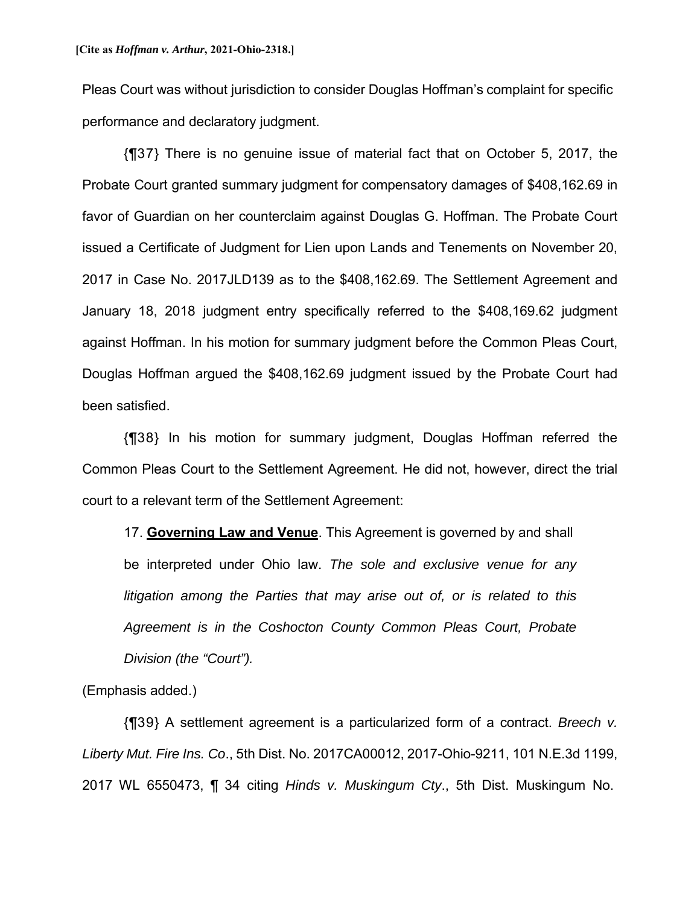Pleas Court was without jurisdiction to consider Douglas Hoffman's complaint for specific performance and declaratory judgment.

{¶37} There is no genuine issue of material fact that on October 5, 2017, the Probate Court granted summary judgment for compensatory damages of \$408,162.69 in favor of Guardian on her counterclaim against Douglas G. Hoffman. The Probate Court issued a Certificate of Judgment for Lien upon Lands and Tenements on November 20, 2017 in Case No. 2017JLD139 as to the \$408,162.69. The Settlement Agreement and January 18, 2018 judgment entry specifically referred to the \$408,169.62 judgment against Hoffman. In his motion for summary judgment before the Common Pleas Court, Douglas Hoffman argued the \$408,162.69 judgment issued by the Probate Court had been satisfied.

{¶38} In his motion for summary judgment, Douglas Hoffman referred the Common Pleas Court to the Settlement Agreement. He did not, however, direct the trial court to a relevant term of the Settlement Agreement:

17. **Governing Law and Venue**. This Agreement is governed by and shall be interpreted under Ohio law. *The sole and exclusive venue for any litigation among the Parties that may arise out of, or is related to this Agreement is in the Coshocton County Common Pleas Court, Probate Division (the "Court").*

(Emphasis added.)

{¶39} A settlement agreement is a particularized form of a contract. *Breech v. Liberty Mut. Fire Ins. Co*., 5th Dist. No. 2017CA00012, 2017-Ohio-9211, 101 N.E.3d 1199, 2017 WL 6550473, ¶ 34 citing *Hinds v. Muskingum Cty*., 5th Dist. Muskingum No.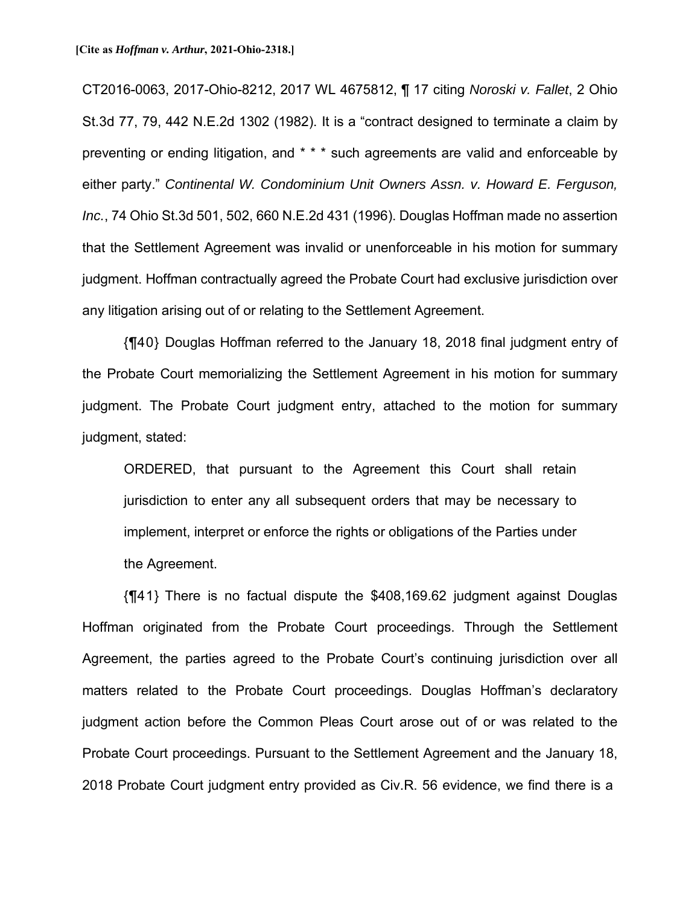CT2016-0063, 2017-Ohio-8212, 2017 WL 4675812, ¶ 17 citing *Noroski v. Fallet*, 2 Ohio St.3d 77, 79, 442 N.E.2d 1302 (1982). It is a "contract designed to terminate a claim by preventing or ending litigation, and \* \* \* such agreements are valid and enforceable by either party." *Continental W. Condominium Unit Owners Assn. v. Howard E. Ferguson, Inc.*, 74 Ohio St.3d 501, 502, 660 N.E.2d 431 (1996). Douglas Hoffman made no assertion that the Settlement Agreement was invalid or unenforceable in his motion for summary judgment. Hoffman contractually agreed the Probate Court had exclusive jurisdiction over any litigation arising out of or relating to the Settlement Agreement.

{¶40} Douglas Hoffman referred to the January 18, 2018 final judgment entry of the Probate Court memorializing the Settlement Agreement in his motion for summary judgment. The Probate Court judgment entry, attached to the motion for summary judgment, stated:

ORDERED, that pursuant to the Agreement this Court shall retain jurisdiction to enter any all subsequent orders that may be necessary to implement, interpret or enforce the rights or obligations of the Parties under the Agreement.

{¶41} There is no factual dispute the \$408,169.62 judgment against Douglas Hoffman originated from the Probate Court proceedings. Through the Settlement Agreement, the parties agreed to the Probate Court's continuing jurisdiction over all matters related to the Probate Court proceedings. Douglas Hoffman's declaratory judgment action before the Common Pleas Court arose out of or was related to the Probate Court proceedings. Pursuant to the Settlement Agreement and the January 18, 2018 Probate Court judgment entry provided as Civ.R. 56 evidence, we find there is a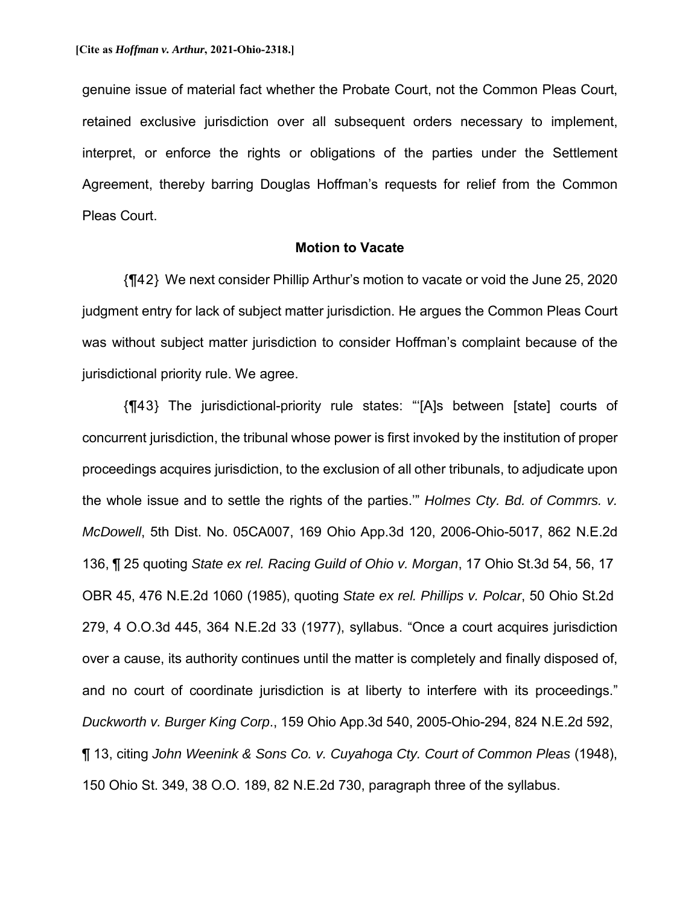genuine issue of material fact whether the Probate Court, not the Common Pleas Court, retained exclusive jurisdiction over all subsequent orders necessary to implement, interpret, or enforce the rights or obligations of the parties under the Settlement Agreement, thereby barring Douglas Hoffman's requests for relief from the Common Pleas Court.

### **Motion to Vacate**

{¶42} We next consider Phillip Arthur's motion to vacate or void the June 25, 2020 judgment entry for lack of subject matter jurisdiction. He argues the Common Pleas Court was without subject matter jurisdiction to consider Hoffman's complaint because of the jurisdictional priority rule. We agree.

{¶43} The jurisdictional-priority rule states: "'[A]s between [state] courts of concurrent jurisdiction, the tribunal whose power is first invoked by the institution of proper proceedings acquires jurisdiction, to the exclusion of all other tribunals, to adjudicate upon the whole issue and to settle the rights of the parties.'" *Holmes Cty. Bd. of Commrs. v. McDowell*, 5th Dist. No. 05CA007, 169 Ohio App.3d 120, 2006-Ohio-5017, 862 N.E.2d 136, ¶ 25 quoting *State ex rel. Racing Guild of Ohio v. Morgan*, 17 Ohio St.3d 54, 56, 17 OBR 45, 476 N.E.2d 1060 (1985), quoting *State ex rel. Phillips v. Polcar*, 50 Ohio St.2d 279, 4 O.O.3d 445, 364 N.E.2d 33 (1977), syllabus. "Once a court acquires jurisdiction over a cause, its authority continues until the matter is completely and finally disposed of, and no court of coordinate jurisdiction is at liberty to interfere with its proceedings." *Duckworth v. Burger King Corp*., 159 Ohio App.3d 540, 2005-Ohio-294, 824 N.E.2d 592, ¶ 13, citing *John Weenink & Sons Co. v. Cuyahoga Cty. Court of Common Pleas* (1948), 150 Ohio St. 349, 38 O.O. 189, 82 N.E.2d 730, paragraph three of the syllabus.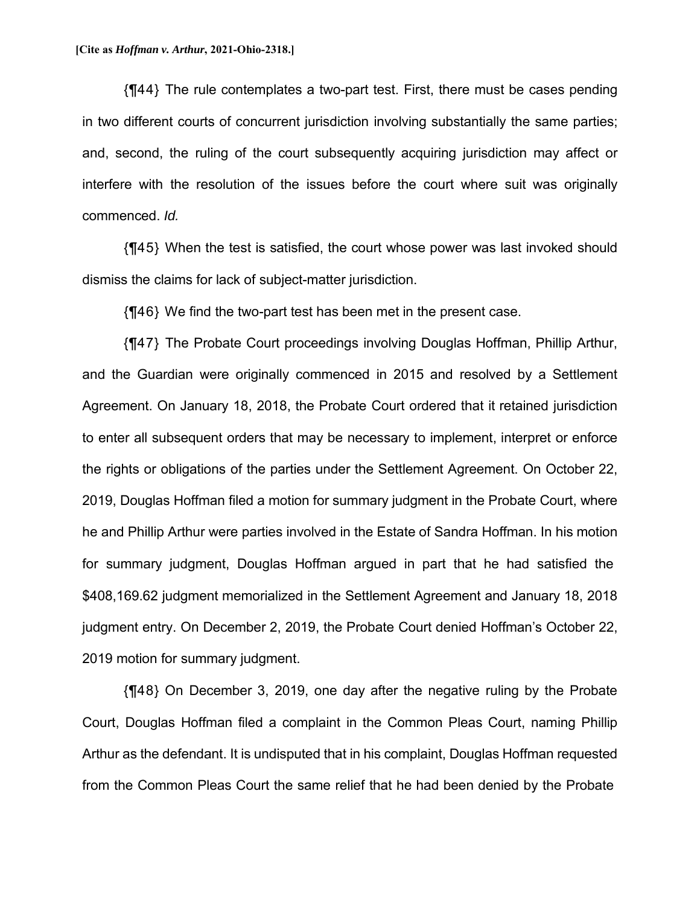{¶44} The rule contemplates a two-part test. First, there must be cases pending in two different courts of concurrent jurisdiction involving substantially the same parties; and, second, the ruling of the court subsequently acquiring jurisdiction may affect or interfere with the resolution of the issues before the court where suit was originally commenced. *Id.*

{¶45} When the test is satisfied, the court whose power was last invoked should dismiss the claims for lack of subject-matter jurisdiction.

{¶46} We find the two-part test has been met in the present case.

{¶47} The Probate Court proceedings involving Douglas Hoffman, Phillip Arthur, and the Guardian were originally commenced in 2015 and resolved by a Settlement Agreement. On January 18, 2018, the Probate Court ordered that it retained jurisdiction to enter all subsequent orders that may be necessary to implement, interpret or enforce the rights or obligations of the parties under the Settlement Agreement. On October 22, 2019, Douglas Hoffman filed a motion for summary judgment in the Probate Court, where he and Phillip Arthur were parties involved in the Estate of Sandra Hoffman. In his motion for summary judgment, Douglas Hoffman argued in part that he had satisfied the \$408,169.62 judgment memorialized in the Settlement Agreement and January 18, 2018 judgment entry. On December 2, 2019, the Probate Court denied Hoffman's October 22, 2019 motion for summary judgment.

{¶48} On December 3, 2019, one day after the negative ruling by the Probate Court, Douglas Hoffman filed a complaint in the Common Pleas Court, naming Phillip Arthur as the defendant. It is undisputed that in his complaint, Douglas Hoffman requested from the Common Pleas Court the same relief that he had been denied by the Probate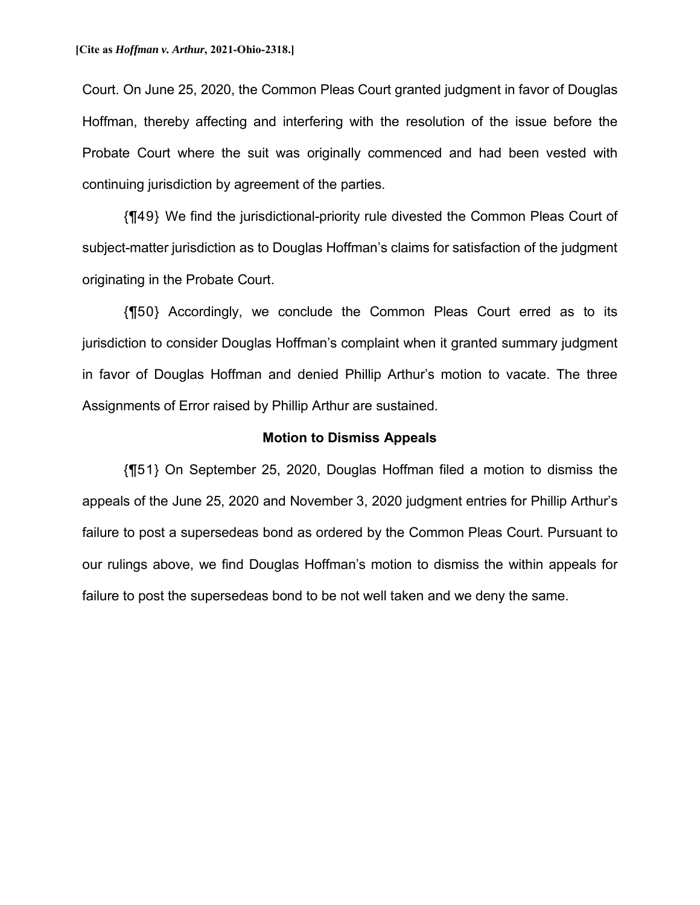Court. On June 25, 2020, the Common Pleas Court granted judgment in favor of Douglas Hoffman, thereby affecting and interfering with the resolution of the issue before the Probate Court where the suit was originally commenced and had been vested with continuing jurisdiction by agreement of the parties.

{¶49} We find the jurisdictional-priority rule divested the Common Pleas Court of subject-matter jurisdiction as to Douglas Hoffman's claims for satisfaction of the judgment originating in the Probate Court.

{¶50} Accordingly, we conclude the Common Pleas Court erred as to its jurisdiction to consider Douglas Hoffman's complaint when it granted summary judgment in favor of Douglas Hoffman and denied Phillip Arthur's motion to vacate. The three Assignments of Error raised by Phillip Arthur are sustained.

#### **Motion to Dismiss Appeals**

{¶51} On September 25, 2020, Douglas Hoffman filed a motion to dismiss the appeals of the June 25, 2020 and November 3, 2020 judgment entries for Phillip Arthur's failure to post a supersedeas bond as ordered by the Common Pleas Court. Pursuant to our rulings above, we find Douglas Hoffman's motion to dismiss the within appeals for failure to post the supersedeas bond to be not well taken and we deny the same.